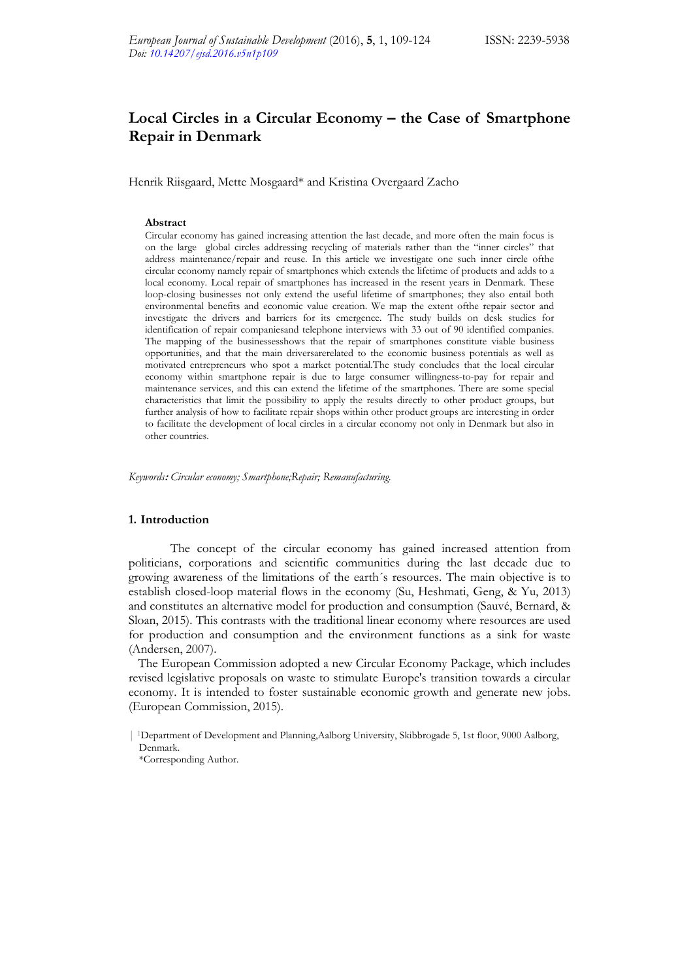# **Local Circles in a Circular Economy – the Case of Smartphone Repair in Denmark**

Henrik Riisgaard, Mette Mosgaard\* and Kristina Overgaard Zacho

#### **Abstract**

Circular economy has gained increasing attention the last decade, and more often the main focus is on the large global circles addressing recycling of materials rather than the "inner circles" that address maintenance/repair and reuse. In this article we investigate one such inner circle ofthe circular economy namely repair of smartphones which extends the lifetime of products and adds to a local economy. Local repair of smartphones has increased in the resent years in Denmark. These loop-closing businesses not only extend the useful lifetime of smartphones; they also entail both environmental benefits and economic value creation. We map the extent ofthe repair sector and investigate the drivers and barriers for its emergence. The study builds on desk studies for identification of repair companiesand telephone interviews with 33 out of 90 identified companies. The mapping of the businessesshows that the repair of smartphones constitute viable business opportunities, and that the main driversarerelated to the economic business potentials as well as motivated entrepreneurs who spot a market potential.The study concludes that the local circular economy within smartphone repair is due to large consumer willingness-to-pay for repair and maintenance services, and this can extend the lifetime of the smartphones. There are some special characteristics that limit the possibility to apply the results directly to other product groups, but further analysis of how to facilitate repair shops within other product groups are interesting in order to facilitate the development of local circles in a circular economy not only in Denmark but also in other countries.

*Keywords***:** *Circular economy; Smartphone;Repair; Remanufacturing.* 

# **1. Introduction**

The concept of the circular economy has gained increased attention from politicians, corporations and scientific communities during the last decade due to growing awareness of the limitations of the earth´s resources. The main objective is to establish closed-loop material flows in the economy (Su, Heshmati, Geng, & Yu, 2013) and constitutes an alternative model for production and consumption (Sauvé, Bernard, & Sloan, 2015). This contrasts with the traditional linear economy where resources are used for production and consumption and the environment functions as a sink for waste (Andersen, 2007).

 The European Commission adopted a new Circular Economy Package, which includes revised legislative proposals on waste to stimulate Europe's transition towards a circular economy. It is intended to foster sustainable economic growth and generate new jobs. (European Commission, 2015).

\*Corresponding Author.

<sup>| 1</sup>Department of Development and Planning,Aalborg University, Skibbrogade 5, 1st floor, 9000 Aalborg, Denmark.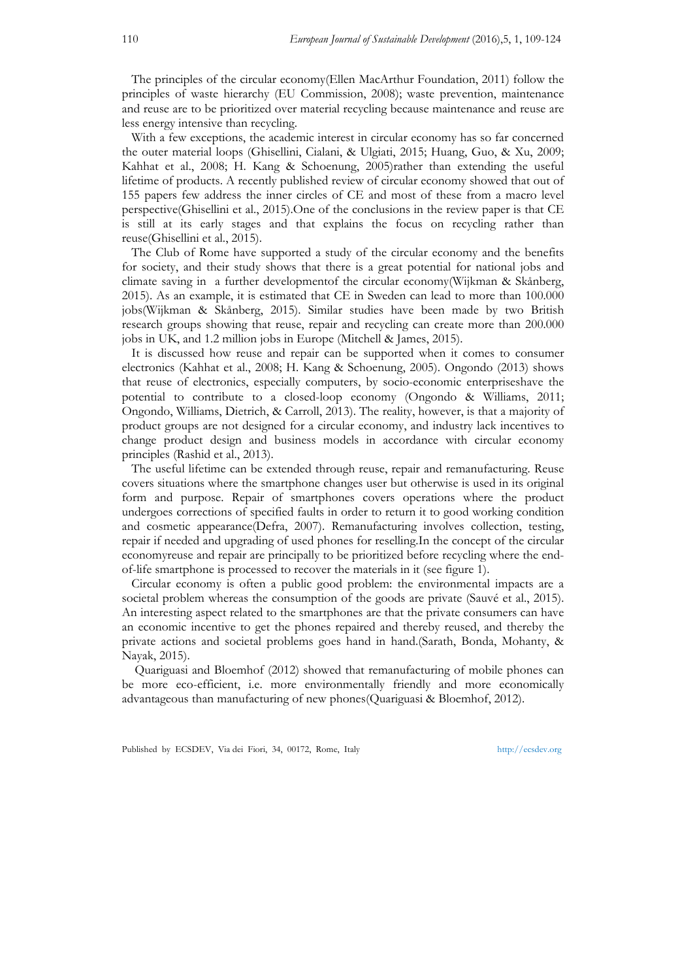The principles of the circular economy(Ellen MacArthur Foundation, 2011) follow the principles of waste hierarchy (EU Commission, 2008); waste prevention, maintenance and reuse are to be prioritized over material recycling because maintenance and reuse are less energy intensive than recycling.

 With a few exceptions, the academic interest in circular economy has so far concerned the outer material loops (Ghisellini, Cialani, & Ulgiati, 2015; Huang, Guo, & Xu, 2009; Kahhat et al., 2008; H. Kang & Schoenung, 2005)rather than extending the useful lifetime of products. A recently published review of circular economy showed that out of 155 papers few address the inner circles of CE and most of these from a macro level perspective(Ghisellini et al., 2015).One of the conclusions in the review paper is that CE is still at its early stages and that explains the focus on recycling rather than reuse(Ghisellini et al., 2015).

 The Club of Rome have supported a study of the circular economy and the benefits for society, and their study shows that there is a great potential for national jobs and climate saving in a further developmentof the circular economy(Wijkman & Skånberg, 2015). As an example, it is estimated that CE in Sweden can lead to more than 100.000 jobs(Wijkman & Skånberg, 2015). Similar studies have been made by two British research groups showing that reuse, repair and recycling can create more than 200.000 jobs in UK, and 1.2 million jobs in Europe (Mitchell & James, 2015).

 It is discussed how reuse and repair can be supported when it comes to consumer electronics (Kahhat et al., 2008; H. Kang & Schoenung, 2005). Ongondo (2013) shows that reuse of electronics, especially computers, by socio-economic enterpriseshave the potential to contribute to a closed-loop economy (Ongondo & Williams, 2011; Ongondo, Williams, Dietrich, & Carroll, 2013). The reality, however, is that a majority of product groups are not designed for a circular economy, and industry lack incentives to change product design and business models in accordance with circular economy principles (Rashid et al., 2013).

 The useful lifetime can be extended through reuse, repair and remanufacturing. Reuse covers situations where the smartphone changes user but otherwise is used in its original form and purpose. Repair of smartphones covers operations where the product undergoes corrections of specified faults in order to return it to good working condition and cosmetic appearance(Defra, 2007). Remanufacturing involves collection, testing, repair if needed and upgrading of used phones for reselling.In the concept of the circular economyreuse and repair are principally to be prioritized before recycling where the endof-life smartphone is processed to recover the materials in it (see figure 1).

 Circular economy is often a public good problem: the environmental impacts are a societal problem whereas the consumption of the goods are private (Sauvé et al., 2015). An interesting aspect related to the smartphones are that the private consumers can have an economic incentive to get the phones repaired and thereby reused, and thereby the private actions and societal problems goes hand in hand.(Sarath, Bonda, Mohanty, & Nayak, 2015).

 Quariguasi and Bloemhof (2012) showed that remanufacturing of mobile phones can be more eco-efficient, i.e. more environmentally friendly and more economically advantageous than manufacturing of new phones(Quariguasi & Bloemhof, 2012).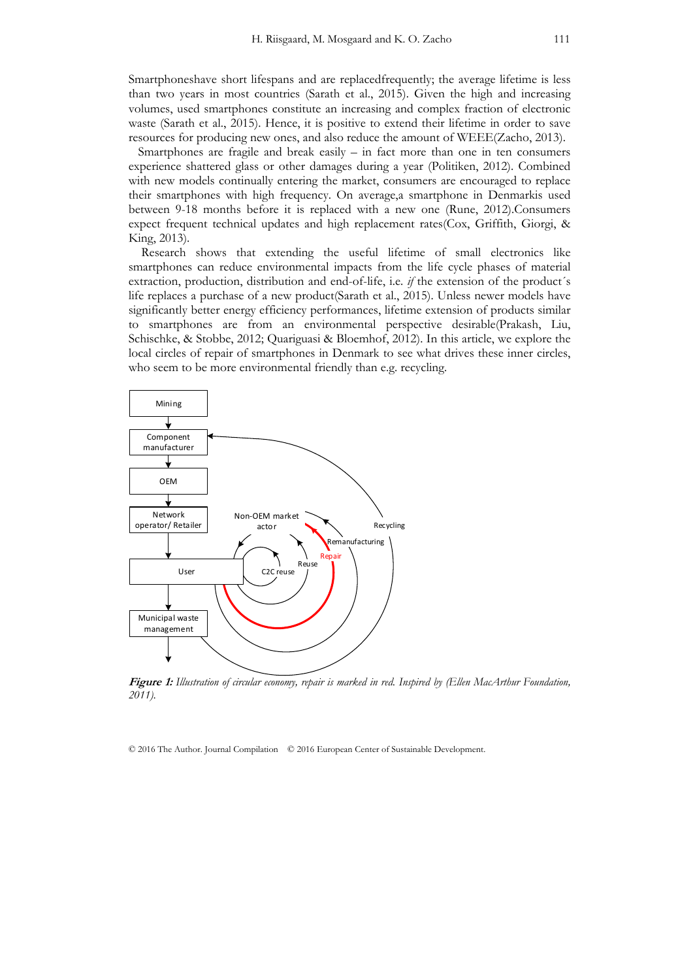Smartphoneshave short lifespans and are replacedfrequently; the average lifetime is less than two years in most countries (Sarath et al., 2015). Given the high and increasing volumes, used smartphones constitute an increasing and complex fraction of electronic waste (Sarath et al., 2015). Hence, it is positive to extend their lifetime in order to save resources for producing new ones, and also reduce the amount of WEEE(Zacho, 2013).

 Smartphones are fragile and break easily – in fact more than one in ten consumers experience shattered glass or other damages during a year (Politiken, 2012). Combined with new models continually entering the market, consumers are encouraged to replace their smartphones with high frequency. On average,a smartphone in Denmarkis used between 9-18 months before it is replaced with a new one (Rune, 2012).Consumers expect frequent technical updates and high replacement rates(Cox, Griffith, Giorgi, & King, 2013).

 Research shows that extending the useful lifetime of small electronics like smartphones can reduce environmental impacts from the life cycle phases of material extraction, production, distribution and end-of-life, i.e. *if* the extension of the product´s life replaces a purchase of a new product(Sarath et al., 2015). Unless newer models have significantly better energy efficiency performances, lifetime extension of products similar to smartphones are from an environmental perspective desirable(Prakash, Liu, Schischke, & Stobbe, 2012; Quariguasi & Bloemhof, 2012). In this article, we explore the local circles of repair of smartphones in Denmark to see what drives these inner circles, who seem to be more environmental friendly than e.g. recycling.



**Figure 1:** *Illustration of circular economy, repair is marked in red. Inspired by (Ellen MacArthur Foundation, 2011).*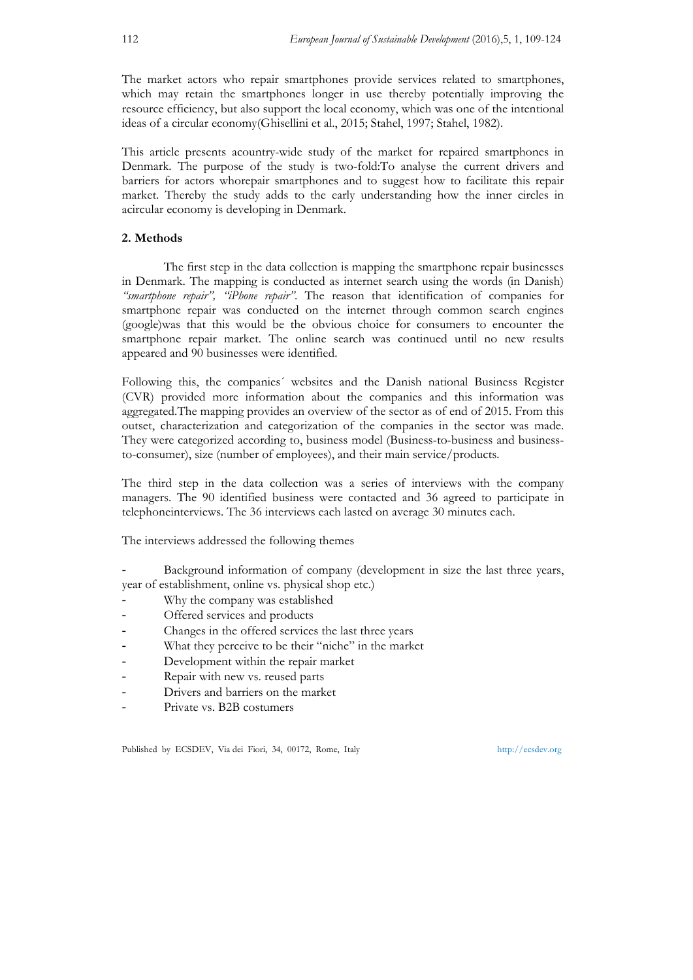The market actors who repair smartphones provide services related to smartphones, which may retain the smartphones longer in use thereby potentially improving the resource efficiency, but also support the local economy, which was one of the intentional ideas of a circular economy(Ghisellini et al., 2015; Stahel, 1997; Stahel, 1982).

This article presents acountry-wide study of the market for repaired smartphones in Denmark. The purpose of the study is two-fold:To analyse the current drivers and barriers for actors whorepair smartphones and to suggest how to facilitate this repair market. Thereby the study adds to the early understanding how the inner circles in acircular economy is developing in Denmark.

# **2. Methods**

The first step in the data collection is mapping the smartphone repair businesses in Denmark. The mapping is conducted as internet search using the words (in Danish) *"smartphone repair", "iPhone repair"*. The reason that identification of companies for smartphone repair was conducted on the internet through common search engines (google)was that this would be the obvious choice for consumers to encounter the smartphone repair market. The online search was continued until no new results appeared and 90 businesses were identified.

Following this, the companies´ websites and the Danish national Business Register (CVR) provided more information about the companies and this information was aggregated.The mapping provides an overview of the sector as of end of 2015. From this outset, characterization and categorization of the companies in the sector was made. They were categorized according to, business model (Business-to-business and businessto-consumer), size (number of employees), and their main service/products.

The third step in the data collection was a series of interviews with the company managers. The 90 identified business were contacted and 36 agreed to participate in telephoneinterviews. The 36 interviews each lasted on average 30 minutes each.

The interviews addressed the following themes

Background information of company (development in size the last three years, year of establishment, online vs. physical shop etc.)

- Why the company was established
- Offered services and products
- Changes in the offered services the last three years
- What they perceive to be their "niche" in the market
- Development within the repair market
- Repair with new vs. reused parts
- Drivers and barriers on the market
- Private vs. B2B costumers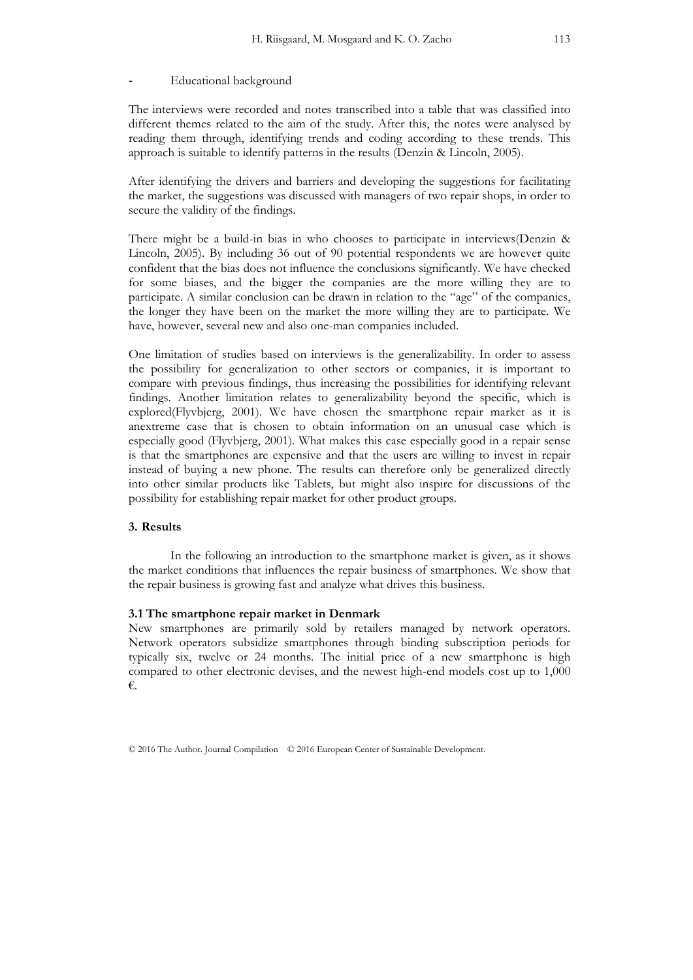#### Educational background

The interviews were recorded and notes transcribed into a table that was classified into different themes related to the aim of the study. After this, the notes were analysed by reading them through, identifying trends and coding according to these trends. This approach is suitable to identify patterns in the results (Denzin & Lincoln, 2005).

After identifying the drivers and barriers and developing the suggestions for facilitating the market, the suggestions was discussed with managers of two repair shops, in order to secure the validity of the findings.

There might be a build-in bias in who chooses to participate in interviews(Denzin & Lincoln, 2005). By including 36 out of 90 potential respondents we are however quite confident that the bias does not influence the conclusions significantly. We have checked for some biases, and the bigger the companies are the more willing they are to participate. A similar conclusion can be drawn in relation to the "age" of the companies, the longer they have been on the market the more willing they are to participate. We have, however, several new and also one-man companies included.

One limitation of studies based on interviews is the generalizability. In order to assess the possibility for generalization to other sectors or companies, it is important to compare with previous findings, thus increasing the possibilities for identifying relevant findings. Another limitation relates to generalizability beyond the specific, which is explored(Flyvbjerg, 2001). We have chosen the smartphone repair market as it is anextreme case that is chosen to obtain information on an unusual case which is especially good (Flyvbjerg, 2001). What makes this case especially good in a repair sense is that the smartphones are expensive and that the users are willing to invest in repair instead of buying a new phone. The results can therefore only be generalized directly into other similar products like Tablets, but might also inspire for discussions of the possibility for establishing repair market for other product groups.

# **3. Results**

In the following an introduction to the smartphone market is given, as it shows the market conditions that influences the repair business of smartphones. We show that the repair business is growing fast and analyze what drives this business.

#### **3.1 The smartphone repair market in Denmark**

New smartphones are primarily sold by retailers managed by network operators. Network operators subsidize smartphones through binding subscription periods for typically six, twelve or 24 months. The initial price of a new smartphone is high compared to other electronic devises, and the newest high-end models cost up to 1,000 €.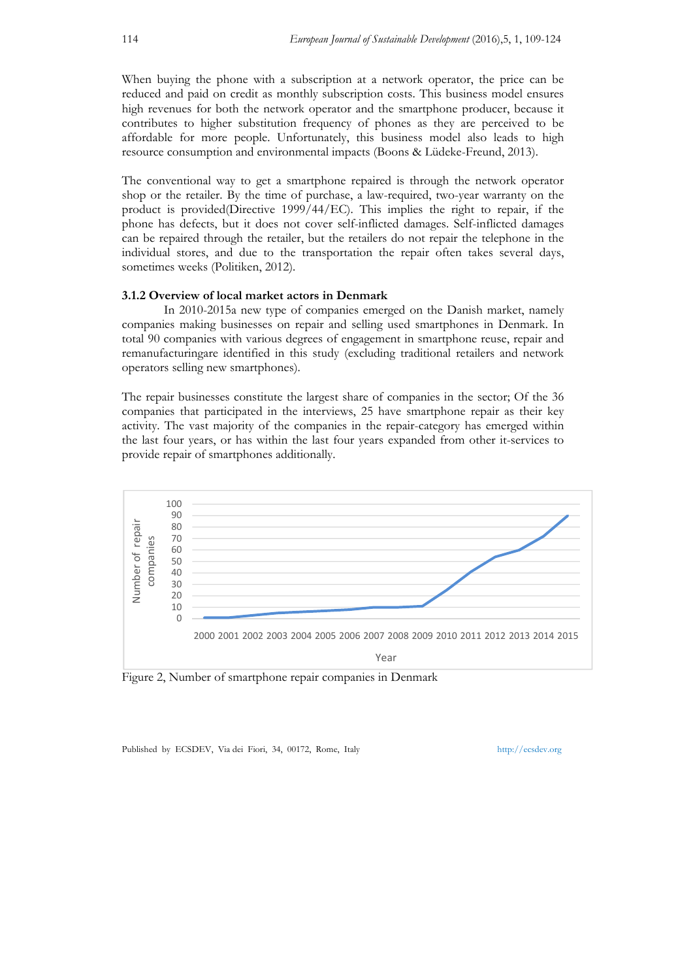When buying the phone with a subscription at a network operator, the price can be reduced and paid on credit as monthly subscription costs. This business model ensures high revenues for both the network operator and the smartphone producer, because it contributes to higher substitution frequency of phones as they are perceived to be affordable for more people. Unfortunately, this business model also leads to high resource consumption and environmental impacts (Boons & Lüdeke-Freund, 2013).

The conventional way to get a smartphone repaired is through the network operator shop or the retailer. By the time of purchase, a law-required, two-year warranty on the product is provided(Directive 1999/44/EC). This implies the right to repair, if the phone has defects, but it does not cover self-inflicted damages. Self-inflicted damages can be repaired through the retailer, but the retailers do not repair the telephone in the individual stores, and due to the transportation the repair often takes several days, sometimes weeks (Politiken, 2012).

# **3.1.2 Overview of local market actors in Denmark**

In 2010-2015a new type of companies emerged on the Danish market, namely companies making businesses on repair and selling used smartphones in Denmark. In total 90 companies with various degrees of engagement in smartphone reuse, repair and remanufacturingare identified in this study (excluding traditional retailers and network operators selling new smartphones).

The repair businesses constitute the largest share of companies in the sector; Of the 36 companies that participated in the interviews, 25 have smartphone repair as their key activity. The vast majority of the companies in the repair-category has emerged within the last four years, or has within the last four years expanded from other it-services to provide repair of smartphones additionally.



Figure 2, Number of smartphone repair companies in Denmark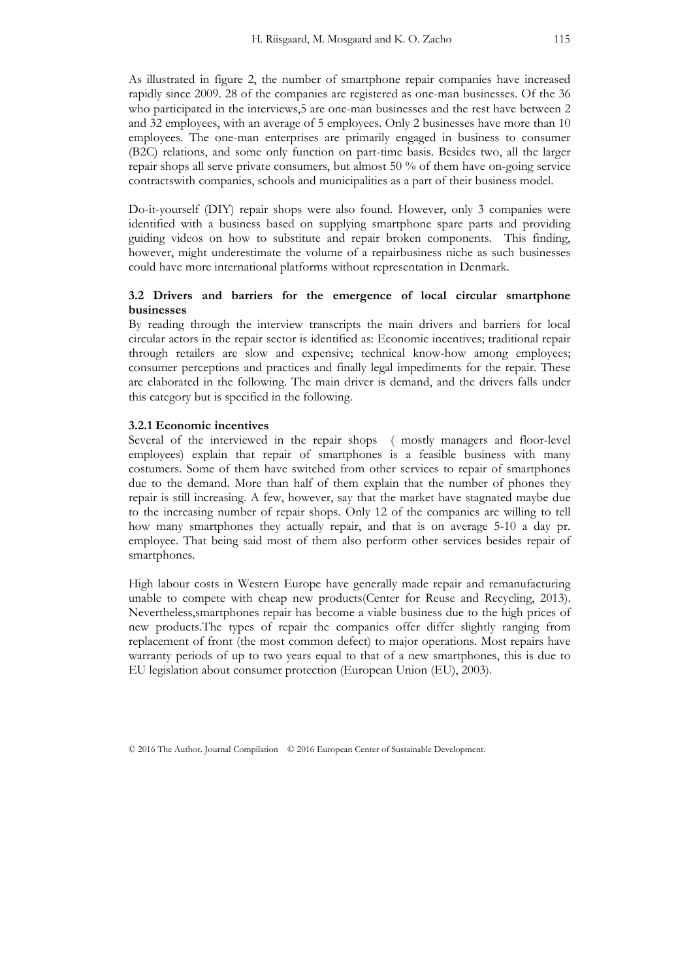As illustrated in figure 2, the number of smartphone repair companies have increased rapidly since 2009. 28 of the companies are registered as one-man businesses. Of the 36 who participated in the interviews,5 are one-man businesses and the rest have between 2 and 32 employees, with an average of 5 employees. Only 2 businesses have more than 10 employees. The one-man enterprises are primarily engaged in business to consumer (B2C) relations, and some only function on part-time basis. Besides two, all the larger repair shops all serve private consumers, but almost 50 % of them have on-going service contractswith companies, schools and municipalities as a part of their business model.

Do-it-yourself (DIY) repair shops were also found. However, only 3 companies were identified with a business based on supplying smartphone spare parts and providing guiding videos on how to substitute and repair broken components. This finding, however, might underestimate the volume of a repairbusiness niche as such businesses could have more international platforms without representation in Denmark.

# **3.2 Drivers and barriers for the emergence of local circular smartphone businesses**

By reading through the interview transcripts the main drivers and barriers for local circular actors in the repair sector is identified as: Economic incentives; traditional repair through retailers are slow and expensive; technical know-how among employees; consumer perceptions and practices and finally legal impediments for the repair. These are elaborated in the following. The main driver is demand, and the drivers falls under this category but is specified in the following.

# **3.2.1 Economic incentives**

Several of the interviewed in the repair shops ( mostly managers and floor-level employees) explain that repair of smartphones is a feasible business with many costumers. Some of them have switched from other services to repair of smartphones due to the demand. More than half of them explain that the number of phones they repair is still increasing. A few, however, say that the market have stagnated maybe due to the increasing number of repair shops. Only 12 of the companies are willing to tell how many smartphones they actually repair, and that is on average 5-10 a day pr. employee. That being said most of them also perform other services besides repair of smartphones.

High labour costs in Western Europe have generally made repair and remanufacturing unable to compete with cheap new products(Center for Reuse and Recycling, 2013). Nevertheless,smartphones repair has become a viable business due to the high prices of new products.The types of repair the companies offer differ slightly ranging from replacement of front (the most common defect) to major operations. Most repairs have warranty periods of up to two years equal to that of a new smartphones, this is due to EU legislation about consumer protection (European Union (EU), 2003).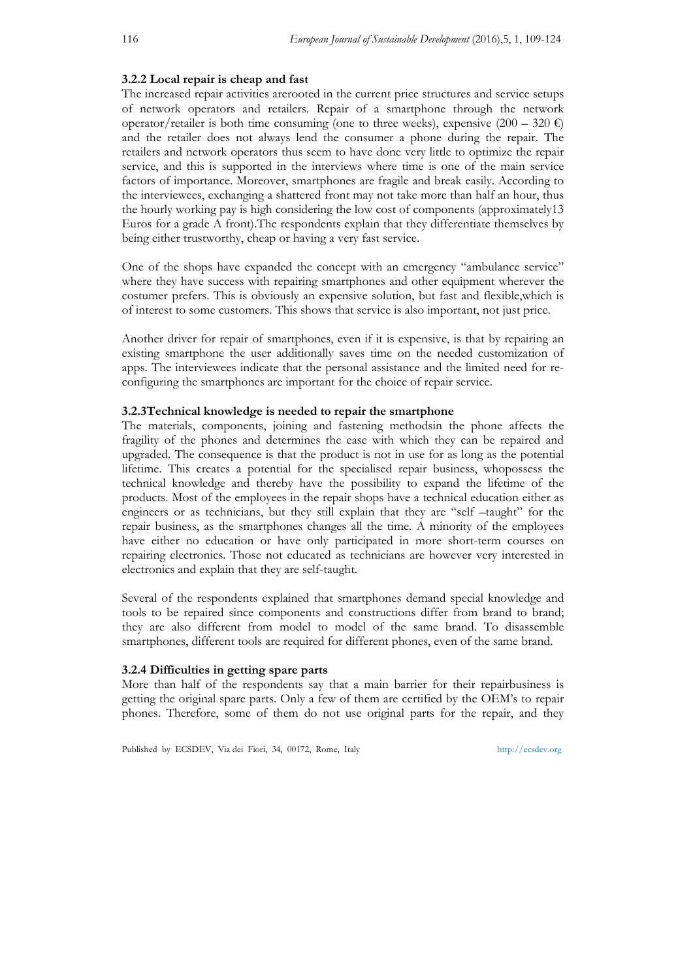#### **3.2.2 Local repair is cheap and fast**

The increased repair activities arerooted in the current price structures and service setups of network operators and retailers. Repair of a smartphone through the network operator/retailer is both time consuming (one to three weeks), expensive  $(200 - 320 \epsilon)$ and the retailer does not always lend the consumer a phone during the repair. The retailers and network operators thus seem to have done very little to optimize the repair service, and this is supported in the interviews where time is one of the main service factors of importance. Moreover, smartphones are fragile and break easily. According to the interviewees, exchanging a shattered front may not take more than half an hour, thus the hourly working pay is high considering the low cost of components (approximately13 Euros for a grade A front).The respondents explain that they differentiate themselves by being either trustworthy, cheap or having a very fast service.

One of the shops have expanded the concept with an emergency "ambulance service" where they have success with repairing smartphones and other equipment wherever the costumer prefers. This is obviously an expensive solution, but fast and flexible,which is of interest to some customers. This shows that service is also important, not just price.

Another driver for repair of smartphones, even if it is expensive, is that by repairing an existing smartphone the user additionally saves time on the needed customization of apps. The interviewees indicate that the personal assistance and the limited need for reconfiguring the smartphones are important for the choice of repair service.

## **3.2.3Technical knowledge is needed to repair the smartphone**

The materials, components, joining and fastening methodsin the phone affects the fragility of the phones and determines the ease with which they can be repaired and upgraded. The consequence is that the product is not in use for as long as the potential lifetime. This creates a potential for the specialised repair business, whopossess the technical knowledge and thereby have the possibility to expand the lifetime of the products. Most of the employees in the repair shops have a technical education either as engineers or as technicians, but they still explain that they are "self –taught" for the repair business, as the smartphones changes all the time. A minority of the employees have either no education or have only participated in more short-term courses on repairing electronics. Those not educated as technicians are however very interested in electronics and explain that they are self-taught.

Several of the respondents explained that smartphones demand special knowledge and tools to be repaired since components and constructions differ from brand to brand; they are also different from model to model of the same brand. To disassemble smartphones, different tools are required for different phones, even of the same brand.

# **3.2.4 Difficulties in getting spare parts**

More than half of the respondents say that a main barrier for their repairbusiness is getting the original spare parts. Only a few of them are certified by the OEM's to repair phones. Therefore, some of them do not use original parts for the repair, and they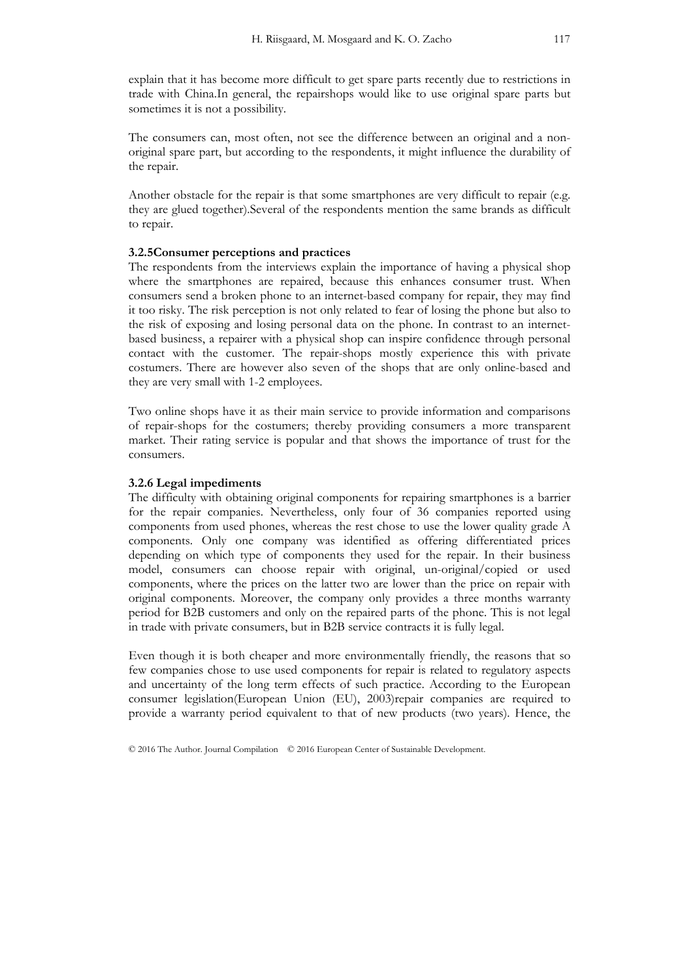explain that it has become more difficult to get spare parts recently due to restrictions in trade with China.In general, the repairshops would like to use original spare parts but sometimes it is not a possibility.

The consumers can, most often, not see the difference between an original and a nonoriginal spare part, but according to the respondents, it might influence the durability of the repair.

Another obstacle for the repair is that some smartphones are very difficult to repair (e.g. they are glued together).Several of the respondents mention the same brands as difficult to repair.

# **3.2.5Consumer perceptions and practices**

The respondents from the interviews explain the importance of having a physical shop where the smartphones are repaired, because this enhances consumer trust. When consumers send a broken phone to an internet-based company for repair, they may find it too risky. The risk perception is not only related to fear of losing the phone but also to the risk of exposing and losing personal data on the phone. In contrast to an internetbased business, a repairer with a physical shop can inspire confidence through personal contact with the customer. The repair-shops mostly experience this with private costumers. There are however also seven of the shops that are only online-based and they are very small with 1-2 employees.

Two online shops have it as their main service to provide information and comparisons of repair-shops for the costumers; thereby providing consumers a more transparent market. Their rating service is popular and that shows the importance of trust for the consumers.

#### **3.2.6 Legal impediments**

The difficulty with obtaining original components for repairing smartphones is a barrier for the repair companies. Nevertheless, only four of 36 companies reported using components from used phones, whereas the rest chose to use the lower quality grade A components. Only one company was identified as offering differentiated prices depending on which type of components they used for the repair. In their business model, consumers can choose repair with original, un-original/copied or used components, where the prices on the latter two are lower than the price on repair with original components. Moreover, the company only provides a three months warranty period for B2B customers and only on the repaired parts of the phone. This is not legal in trade with private consumers, but in B2B service contracts it is fully legal.

Even though it is both cheaper and more environmentally friendly, the reasons that so few companies chose to use used components for repair is related to regulatory aspects and uncertainty of the long term effects of such practice. According to the European consumer legislation(European Union (EU), 2003)repair companies are required to provide a warranty period equivalent to that of new products (two years). Hence, the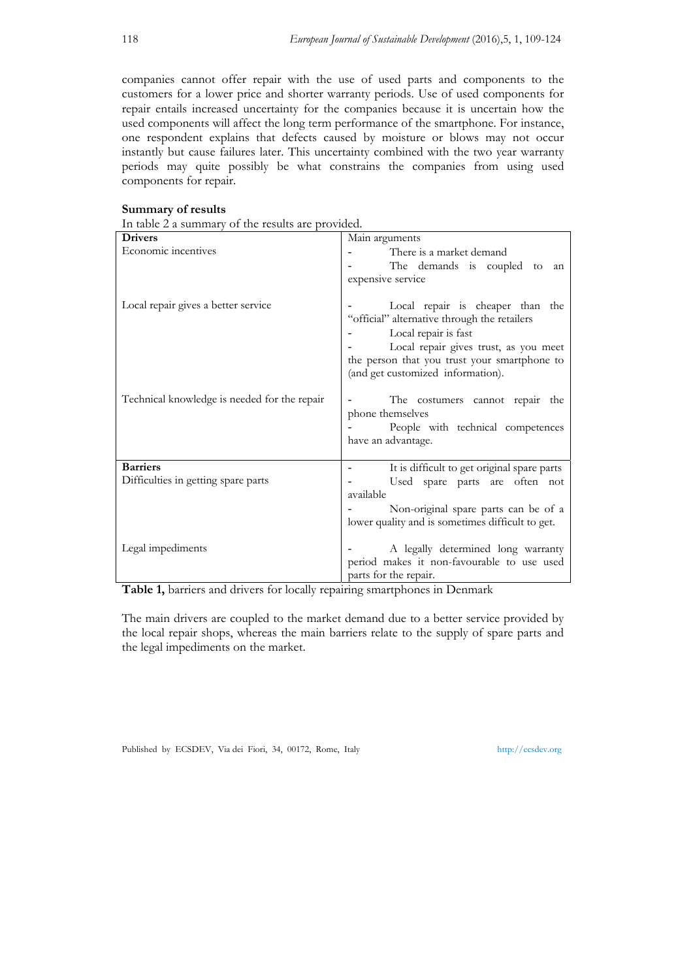companies cannot offer repair with the use of used parts and components to the customers for a lower price and shorter warranty periods. Use of used components for repair entails increased uncertainty for the companies because it is uncertain how the used components will affect the long term performance of the smartphone. For instance, one respondent explains that defects caused by moisture or blows may not occur instantly but cause failures later. This uncertainty combined with the two year warranty periods may quite possibly be what constrains the companies from using used components for repair.

# **Summary of results**

| In table 2 a summary of the results are provided. |  |  |
|---------------------------------------------------|--|--|
|---------------------------------------------------|--|--|

| <b>Drivers</b>                                         | Main arguments                                                                                                                                                                                    |
|--------------------------------------------------------|---------------------------------------------------------------------------------------------------------------------------------------------------------------------------------------------------|
| Economic incentives                                    | There is a market demand<br>The demands is coupled to an<br>expensive service                                                                                                                     |
| Local repair gives a better service                    | Local repair is cheaper than the<br>"official" alternative through the retailers<br>Local repair is fast<br>Local repair gives trust, as you meet<br>the person that you trust your smartphone to |
| Technical knowledge is needed for the repair           | (and get customized information).<br>The costumers cannot repair the<br>phone themselves<br>People with technical competences<br>have an advantage.                                               |
| <b>Barriers</b><br>Difficulties in getting spare parts | It is difficult to get original spare parts<br>Used spare parts are often not<br>available<br>Non-original spare parts can be of a<br>lower quality and is sometimes difficult to get.            |
| Legal impediments                                      | A legally determined long warranty<br>period makes it non-favourable to use used<br>parts for the repair.                                                                                         |

**Table 1,** barriers and drivers for locally repairing smartphones in Denmark

The main drivers are coupled to the market demand due to a better service provided by the local repair shops, whereas the main barriers relate to the supply of spare parts and the legal impediments on the market.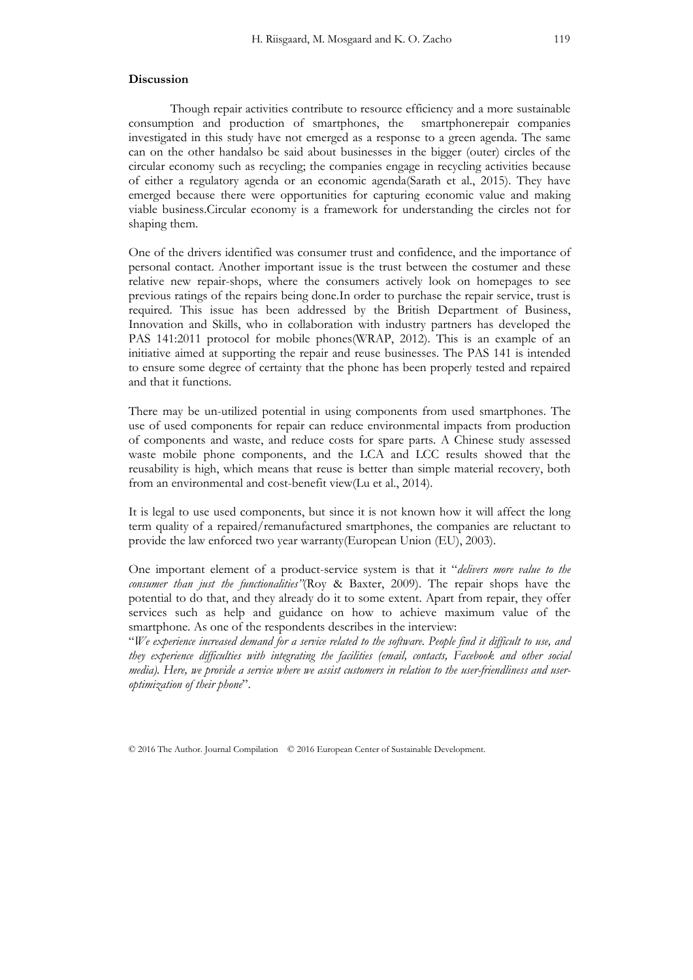#### **Discussion**

Though repair activities contribute to resource efficiency and a more sustainable consumption and production of smartphones, the smartphonerepair companies investigated in this study have not emerged as a response to a green agenda. The same can on the other handalso be said about businesses in the bigger (outer) circles of the circular economy such as recycling; the companies engage in recycling activities because of either a regulatory agenda or an economic agenda(Sarath et al., 2015). They have emerged because there were opportunities for capturing economic value and making viable business.Circular economy is a framework for understanding the circles not for shaping them.

One of the drivers identified was consumer trust and confidence, and the importance of personal contact. Another important issue is the trust between the costumer and these relative new repair-shops, where the consumers actively look on homepages to see previous ratings of the repairs being done.In order to purchase the repair service, trust is required. This issue has been addressed by the British Department of Business, Innovation and Skills, who in collaboration with industry partners has developed the PAS 141:2011 protocol for mobile phones(WRAP, 2012). This is an example of an initiative aimed at supporting the repair and reuse businesses. The PAS 141 is intended to ensure some degree of certainty that the phone has been properly tested and repaired and that it functions.

There may be un-utilized potential in using components from used smartphones. The use of used components for repair can reduce environmental impacts from production of components and waste, and reduce costs for spare parts. A Chinese study assessed waste mobile phone components, and the LCA and LCC results showed that the reusability is high, which means that reuse is better than simple material recovery, both from an environmental and cost-benefit view(Lu et al., 2014).

It is legal to use used components, but since it is not known how it will affect the long term quality of a repaired/remanufactured smartphones, the companies are reluctant to provide the law enforced two year warranty(European Union (EU), 2003).

One important element of a product-service system is that it "*delivers more value to the consumer than just the functionalities"*(Roy & Baxter, 2009). The repair shops have the potential to do that, and they already do it to some extent. Apart from repair, they offer services such as help and guidance on how to achieve maximum value of the smartphone. As one of the respondents describes in the interview:

"*We experience increased demand for a service related to the software. People find it difficult to use, and they experience difficulties with integrating the facilities (email, contacts, Facebook and other social media). Here, we provide a service where we assist customers in relation to the user-friendliness and useroptimization of their phone*".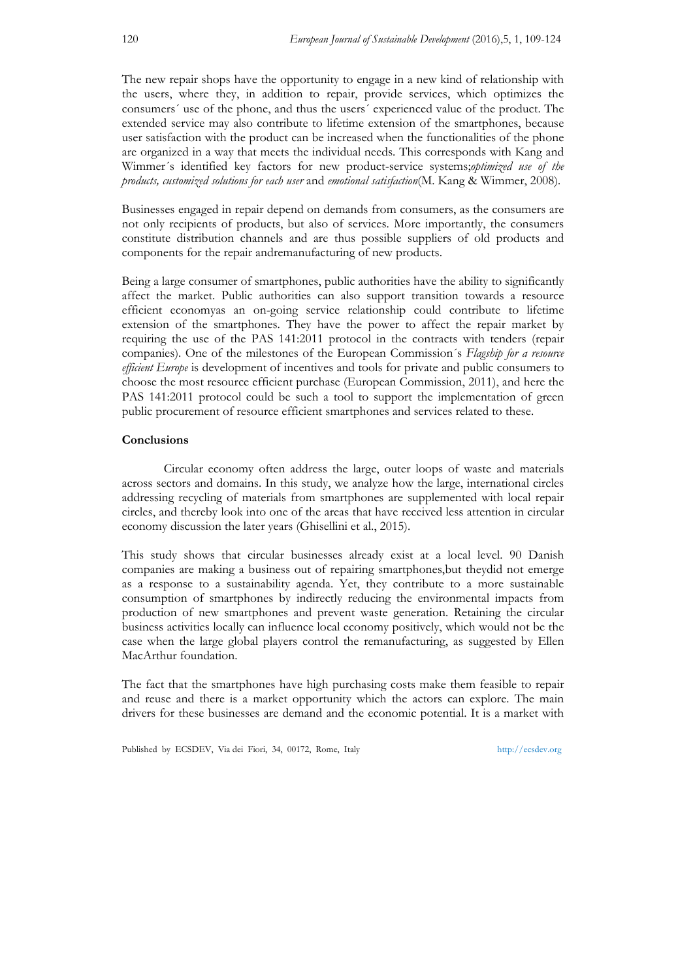The new repair shops have the opportunity to engage in a new kind of relationship with the users, where they, in addition to repair, provide services, which optimizes the consumers´ use of the phone, and thus the users´ experienced value of the product. The extended service may also contribute to lifetime extension of the smartphones, because user satisfaction with the product can be increased when the functionalities of the phone are organized in a way that meets the individual needs. This corresponds with Kang and Wimmer´s identified key factors for new product-service systems;*optimized use of the products, customized solutions for each user* and *emotional satisfaction*(M. Kang & Wimmer, 2008)*.* 

Businesses engaged in repair depend on demands from consumers, as the consumers are not only recipients of products, but also of services. More importantly, the consumers constitute distribution channels and are thus possible suppliers of old products and components for the repair andremanufacturing of new products.

Being a large consumer of smartphones, public authorities have the ability to significantly affect the market. Public authorities can also support transition towards a resource efficient economyas an on-going service relationship could contribute to lifetime extension of the smartphones. They have the power to affect the repair market by requiring the use of the PAS 141:2011 protocol in the contracts with tenders (repair companies). One of the milestones of the European Commission´s *Flagship for a resource efficient Europe* is development of incentives and tools for private and public consumers to choose the most resource efficient purchase (European Commission, 2011), and here the PAS 141:2011 protocol could be such a tool to support the implementation of green public procurement of resource efficient smartphones and services related to these.

## **Conclusions**

Circular economy often address the large, outer loops of waste and materials across sectors and domains. In this study, we analyze how the large, international circles addressing recycling of materials from smartphones are supplemented with local repair circles, and thereby look into one of the areas that have received less attention in circular economy discussion the later years (Ghisellini et al., 2015).

This study shows that circular businesses already exist at a local level. 90 Danish companies are making a business out of repairing smartphones,but theydid not emerge as a response to a sustainability agenda. Yet, they contribute to a more sustainable consumption of smartphones by indirectly reducing the environmental impacts from production of new smartphones and prevent waste generation. Retaining the circular business activities locally can influence local economy positively, which would not be the case when the large global players control the remanufacturing, as suggested by Ellen MacArthur foundation.

The fact that the smartphones have high purchasing costs make them feasible to repair and reuse and there is a market opportunity which the actors can explore. The main drivers for these businesses are demand and the economic potential. It is a market with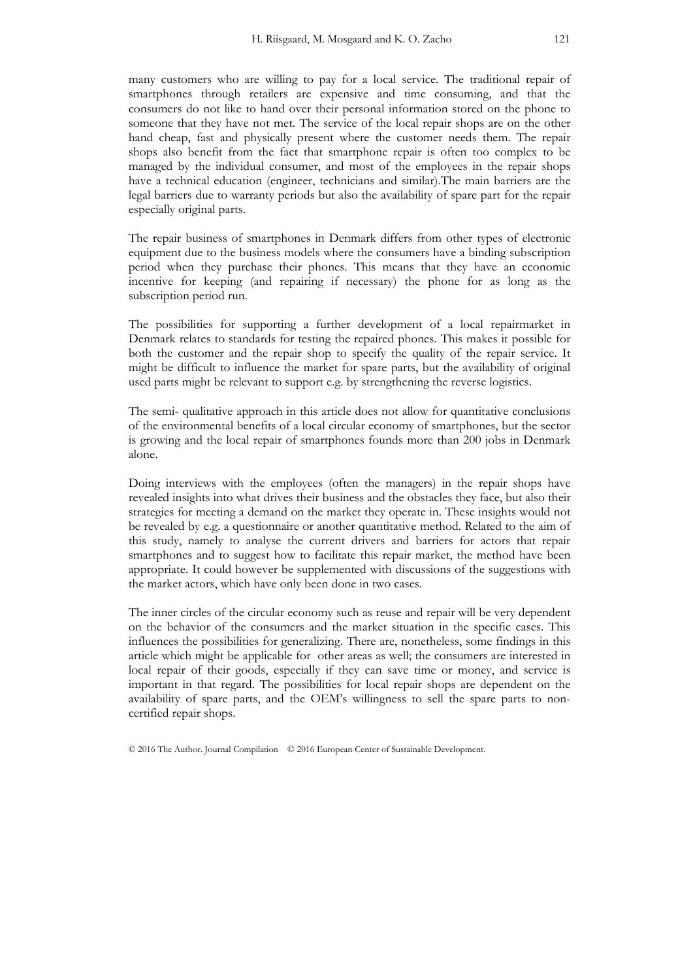many customers who are willing to pay for a local service. The traditional repair of smartphones through retailers are expensive and time consuming, and that the consumers do not like to hand over their personal information stored on the phone to someone that they have not met. The service of the local repair shops are on the other hand cheap, fast and physically present where the customer needs them. The repair shops also benefit from the fact that smartphone repair is often too complex to be managed by the individual consumer, and most of the employees in the repair shops have a technical education (engineer, technicians and similar).The main barriers are the legal barriers due to warranty periods but also the availability of spare part for the repair especially original parts.

The repair business of smartphones in Denmark differs from other types of electronic equipment due to the business models where the consumers have a binding subscription period when they purchase their phones. This means that they have an economic incentive for keeping (and repairing if necessary) the phone for as long as the subscription period run.

The possibilities for supporting a further development of a local repairmarket in Denmark relates to standards for testing the repaired phones. This makes it possible for both the customer and the repair shop to specify the quality of the repair service. It might be difficult to influence the market for spare parts, but the availability of original used parts might be relevant to support e.g. by strengthening the reverse logistics.

The semi- qualitative approach in this article does not allow for quantitative conclusions of the environmental benefits of a local circular economy of smartphones, but the sector is growing and the local repair of smartphones founds more than 200 jobs in Denmark alone.

Doing interviews with the employees (often the managers) in the repair shops have revealed insights into what drives their business and the obstacles they face, but also their strategies for meeting a demand on the market they operate in. These insights would not be revealed by e.g. a questionnaire or another quantitative method. Related to the aim of this study, namely to analyse the current drivers and barriers for actors that repair smartphones and to suggest how to facilitate this repair market, the method have been appropriate. It could however be supplemented with discussions of the suggestions with the market actors, which have only been done in two cases.

The inner circles of the circular economy such as reuse and repair will be very dependent on the behavior of the consumers and the market situation in the specific cases. This influences the possibilities for generalizing. There are, nonetheless, some findings in this article which might be applicable for other areas as well; the consumers are interested in local repair of their goods, especially if they can save time or money, and service is important in that regard. The possibilities for local repair shops are dependent on the availability of spare parts, and the OEM's willingness to sell the spare parts to noncertified repair shops.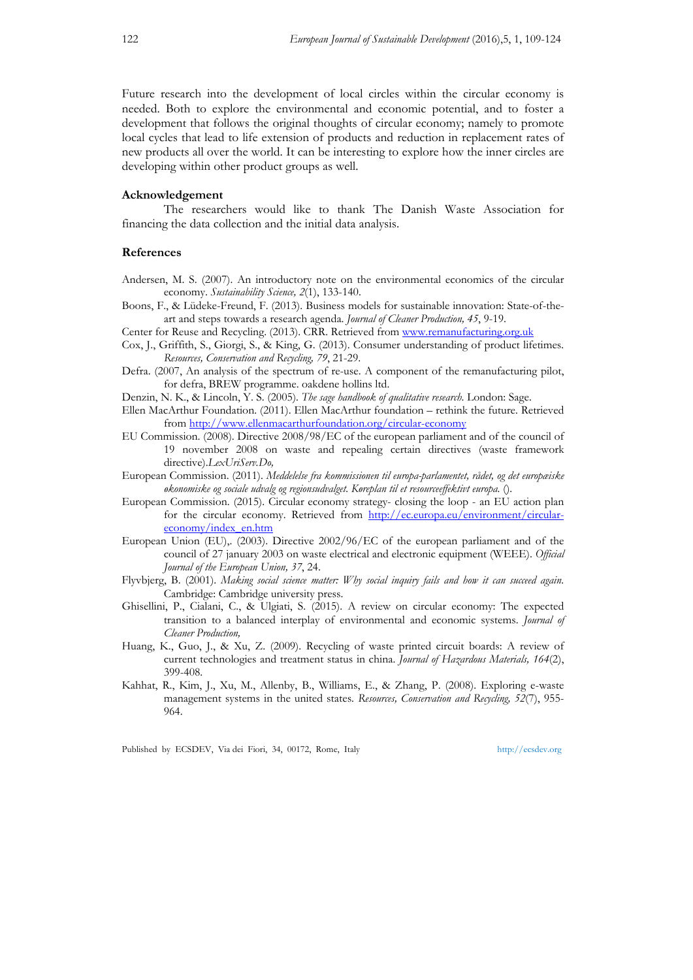Future research into the development of local circles within the circular economy is needed. Both to explore the environmental and economic potential, and to foster a development that follows the original thoughts of circular economy; namely to promote local cycles that lead to life extension of products and reduction in replacement rates of new products all over the world. It can be interesting to explore how the inner circles are developing within other product groups as well.

#### **Acknowledgement**

The researchers would like to thank The Danish Waste Association for financing the data collection and the initial data analysis.

# **References**

- Andersen, M. S. (2007). An introductory note on the environmental economics of the circular economy. *Sustainability Science, 2*(1), 133-140.
- Boons, F., & Lüdeke-Freund, F. (2013). Business models for sustainable innovation: State-of-theart and steps towards a research agenda. *Journal of Cleaner Production, 45*, 9-19.
- Center for Reuse and Recycling. (2013). CRR. Retrieved from www.remanufacturing.org.uk
- Cox, J., Griffith, S., Giorgi, S., & King, G. (2013). Consumer understanding of product lifetimes. *Resources, Conservation and Recycling, 79*, 21-29.
- Defra. (2007, An analysis of the spectrum of re-use. A component of the remanufacturing pilot, for defra, BREW programme. oakdene hollins ltd.
- Denzin, N. K., & Lincoln, Y. S. (2005). *The sage handbook of qualitative research*. London: Sage.
- Ellen MacArthur Foundation. (2011). Ellen MacArthur foundation rethink the future. Retrieved from http://www.ellenmacarthurfoundation.org/circular-economy
- EU Commission. (2008). Directive 2008/98/EC of the european parliament and of the council of 19 november 2008 on waste and repealing certain directives (waste framework directive).*LexUriServ.Do,*
- European Commission. (2011). *Meddelelse fra kommissionen til europa-parlamentet, rådet, og det europæiske økonomiske og sociale udvalg og regionsudvalget. Køreplan til et resourceeffektivt europa.* ().
- European Commission. (2015). Circular economy strategy- closing the loop an EU action plan for the circular economy. Retrieved from http://ec.europa.eu/environment/circulareconomy/index\_en.htm
- European Union (EU),. (2003). Directive 2002/96/EC of the european parliament and of the council of 27 january 2003 on waste electrical and electronic equipment (WEEE). *Official Journal of the European Union, 37*, 24.
- Flyvbjerg, B. (2001). *Making social science matter: Why social inquiry fails and how it can succeed again*. Cambridge: Cambridge university press.
- Ghisellini, P., Cialani, C., & Ulgiati, S. (2015). A review on circular economy: The expected transition to a balanced interplay of environmental and economic systems. *Journal of Cleaner Production,*
- Huang, K., Guo, J., & Xu, Z. (2009). Recycling of waste printed circuit boards: A review of current technologies and treatment status in china. *Journal of Hazardous Materials, 164*(2), 399-408.
- Kahhat, R., Kim, J., Xu, M., Allenby, B., Williams, E., & Zhang, P. (2008). Exploring e-waste management systems in the united states. *Resources, Conservation and Recycling, 52*(7), 955- 964.